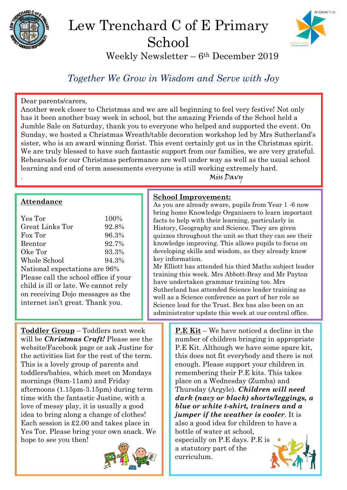

# Lew Trenchard C of E Primary School



Weekly Newsletter – 6th December 2019

# *Together We Grow in Wisdom and Serve with Joy*

#### Dear parents/carers,

Another week closer to Christmas and we are all beginning to feel very festive! Not only has it been another busy week in school, but the amazing Friends of the School held a Jumble Sale on Saturday, thank you to everyone who helped and supported the event. On Sunday, we hosted a Christmas Wreath/table decoration workshop led by Mrs Sutherland's sister, who is an award winning florist. This event certainly got us in the Christmas spirit. We are truly blessed to have such fantastic support from our families, we are very grateful. Rehearsals for our Christmas performance are well under way as well as the usual school learning and end of term assessments everyone is still working extremely hard.

. Miss Davy

#### **Attendance**

| Yes Tor                               | 100%  |  |
|---------------------------------------|-------|--|
|                                       |       |  |
| Great Links Tor                       | 92.8% |  |
| Fox Tor                               | 96.3% |  |
| <b>Brentor</b>                        | 92.7% |  |
| Oke Tor                               | 93.3% |  |
| Whole School                          | 94.3% |  |
| National expectations are 96%         |       |  |
| Please call the school office if your |       |  |
| child is ill or late. We cannot rely  |       |  |
| on receiving Dojo messages as the     |       |  |
| internet isn't great. Thank you.      |       |  |
|                                       |       |  |

#### **School Improvement:**

As you are already aware, pupils from Year 1 -6 now bring home Knowledge Organisers to learn important facts to help with their learning, particularly in History, Geography and Science. They are given quizzes throughout the unit so that they can see their knowledge improving. This allows pupils to focus on developing skills and wisdom, as they already know key information.

Mr Elliott has attended his third Maths subject leader training this week. Mrs Abbott-Bray and Mr Payton have undertaken grammar training too. Mrs Sutherland has attended Science leader training as well as a Science conference as part of her role as Science lead for the Trust. Bex has also been on an administrator update this week at our central office.

**Toddler Group** – Toddlers next week will be *Christmas Craft!* Please see the website/Facebook page or ask Justine for the activities list for the rest of the term. This is a lovely group of parents and toddlers/babies, which meet on Mondays mornings (9am-11am) and Friday afternoons (1.15pm-3.15pm) during term time with the fantastic Justine, with a love of messy play, it is usually a good idea to bring along a change of clothes! Each session is £2.00 and takes place in Yes Tor. Please bring your own snack. We hope to see you then!



**P.E Kit** – We have noticed a decline in the number of children bringing in appropriate P.E Kit. Although we have some spare kit, this does not fit everybody and there is not enough. Please support your children in remembering their P.E kits. This takes place on a Wednesday (Zumba) and Thursday (Argyle). *Children will need dark (navy or black) shorts/leggings, a blue or white t-shirt, trainers and a jumper if the weather is cooler*. It is also a good idea for children to have a bottle of water at school, especially on P.E days. P.E is a statutory part of the curriculum.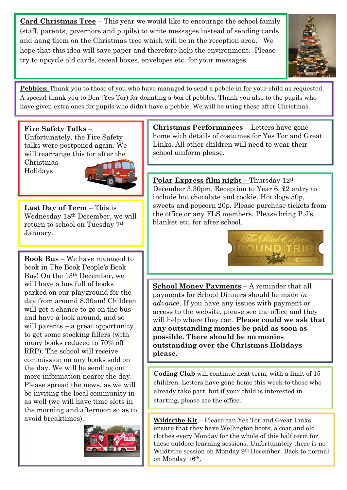**Card Christmas Tree** – This year we would like to encourage the school family (staff, parents, governors and pupils) to write messages instead of sending cards and hang them on the Christmas tree which will be in the reception area. We hope that this idea will save paper and therefore help the environment. Please try to upcycle old cards, cereal boxes, envelopes etc. for your messages.



**Pebbles:** Thank you to those of you who have managed to send a pebble in for your child as requested. A special thank you to Ben (Yes Tor) for donating a box of pebbles. Thank you also to the pupils who have given extra ones for pupils who didn't have a pebble. We will be using these after Christmas.

#### **Fire Safety Talks** –

Unfortunately, the Fire Safety talks were postponed again. We will rearrange this for after the

Christmas Holidays



**Last Day of Term** – This is Wednesday 18th December, we will return to school on Tuesday 7th January.

**Book Bus** – We have managed to book in The Book People's Book Bus! On the 13th December, we will have a bus full of books parked on our playground for the day from around 8.30am! Children will get a chance to go on the bus and have a look around, and so will parents – a great opportunity to get some stocking fillers (with many books reduced to 70% off RRP). The school will receive commission on any books sold on the day. We will be sending out more information nearer the day. Please spread the news, as we will be inviting the local community in as well (we will have time slots in the morning and afternoon so as to avoid breaktimes).



**Christmas Performances** – Letters have gone home with details of costumes for Yes Tor and Great Links. All other children will need to wear their school uniform please.

**Polar Express film night –** Thursday 12th December 3.30pm. Reception to Year 6, £2 entry to include hot chocolate and cookie. Hot dogs 50p, sweets and popcorn 20p. Please purchase tickets from the office or any FLS members. Please bring P.J's, blanket etc. for after school.



**School Money Payments** – A reminder that all payments for School Dinners should be made *in advanc*e. If you have any issues with payment or access to the website, please see the office and they will help where they can. **Please could we ask that any outstanding monies be paid as soon as possible. There should be no monies outstanding over the Christmas Holidays please.**

**Coding Club** will continue next term, with a limit of 15 children. Letters have gone home this week to those who already take part, but if your child is interested in starting, please see the office.

**Wildtribe Kit** – Please can Yes Tor and Great Links ensure that they have Wellington boots, a coat and old clothes every Monday for the whole of this half term for these outdoor learning sessions. Unfortunately there is no Wildtribe session on Monday 9th December. Back to normal on Monday 16th.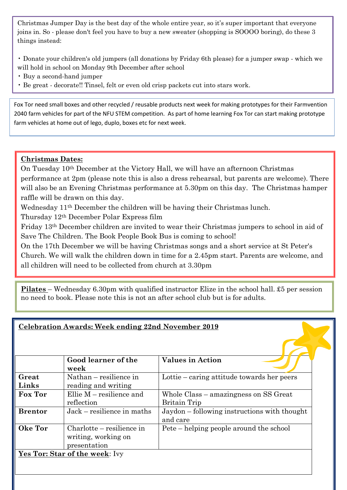Christmas Jumper Day is the best day of the whole entire year, so it's super important that everyone joins in. So - please don't feel you have to buy a new sweater (shopping is SOOOO boring), do these 3 things instead:

- Donate your children's old jumpers (all donations by Friday 6th please) for a jumper swap which we will hold in school on Monday 9th December after school
- Buy a second-hand jumper
- Be great decorate!! Tinsel, felt or even old crisp packets cut into stars work.

Fox Tor need small boxes and other recycled / reusable products next week for making prototypes for their Farmvention 2040 farm vehicles for part of the NFU STEM competition. As part of home learning Fox Tor can start making prototype farm vehicles at home out of lego, duplo, boxes etc for next week.

## **Christmas Dates:**

On Tuesday 10th December at the Victory Hall, we will have an afternoon Christmas performance at 2pm (please note this is also a dress rehearsal, but parents are welcome). There will also be an Evening Christmas performance at 5.30pm on this day. The Christmas hamper raffle will be drawn on this day.

Wednesday 11th December the children will be having their Christmas lunch.

Thursday 12th December Polar Express film

Friday 13th December children are invited to wear their Christmas jumpers to school in aid of Save The Children. The Book People Book Bus is coming to school!

On the 17th December we will be having Christmas songs and a short service at St Peter's Church. We will walk the children down in time for a 2.45pm start. Parents are welcome, and all children will need to be collected from church at 3.30pm

**Pilates** – Wednesday 6.30pm with qualified instructor Elize in the school hall. £5 per session no need to book. Please note this is not an after school club but is for adults.

| <b>Celebration Awards: Week ending 22nd November 2019</b> |                                                                  |                                                              |
|-----------------------------------------------------------|------------------------------------------------------------------|--------------------------------------------------------------|
|                                                           | Good learner of the<br>week                                      | <b>Values in Action</b>                                      |
| Great<br>Links                                            | $Nathan - resilience in$<br>reading and writing                  | Lottie – caring attitude towards her peers                   |
| Fox Tor                                                   | Ellie $M$ – resilience and<br>reflection                         | Whole Class – amazingness on SS Great<br><b>Britain Trip</b> |
| <b>Brentor</b>                                            | Jack – resilience in maths                                       | Jaydon – following instructions with thought<br>and care     |
| Oke Tor                                                   | Charlotte – resilience in<br>writing, working on<br>presentation | Pete – helping people around the school                      |
|                                                           | Yes Tor: Star of the week: Ivy                                   |                                                              |